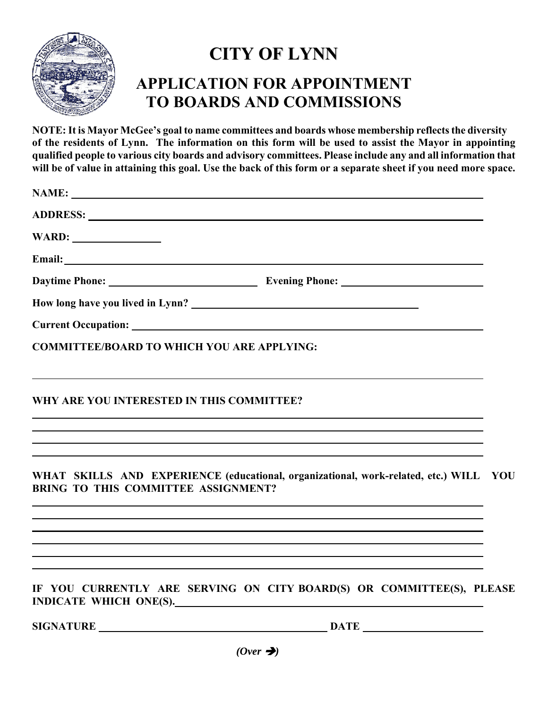

## **CITY OF LYNN APPLICATION FOR APPOINTMENT TO BOARDS AND COMMISSIONS**

**NOTE:It is Mayor McGee's goal to name committees and boards whose membership reflects the diversity of the residents of Lynn. The information on this form will be used to assist the Mayor in appointing qualified people to various city boards and advisory committees. Please include any and all information that will be of value in attaining this goal. Use the back of this form or a separate sheet if you need more space.** 

| ADDRESS: Latin Contract Contract Contract Contract Contract Contract Contract Contract Contract Contract Contract Contract Contract Contract Contract Contract Contract Contract Contract Contract Contract Contract Contract |                                                                                  |     |
|-------------------------------------------------------------------------------------------------------------------------------------------------------------------------------------------------------------------------------|----------------------------------------------------------------------------------|-----|
|                                                                                                                                                                                                                               |                                                                                  |     |
|                                                                                                                                                                                                                               |                                                                                  |     |
|                                                                                                                                                                                                                               |                                                                                  |     |
|                                                                                                                                                                                                                               |                                                                                  |     |
|                                                                                                                                                                                                                               |                                                                                  |     |
| <b>COMMITTEE/BOARD TO WHICH YOU ARE APPLYING:</b>                                                                                                                                                                             |                                                                                  |     |
| WHY ARE YOU INTERESTED IN THIS COMMITTEE?<br>,我们也不会有什么。""我们的人,我们也不会有什么?""我们的人,我们也不会有什么?""我们的人,我们也不会有什么?""我们的人,我们也不会有什么?""我们的人                                                                                                 |                                                                                  |     |
| ,我们也不会有什么。""我们的人,我们也不会有什么?""我们的人,我们也不会有什么?""我们的人,我们也不会有什么?""我们的人,我们也不会有什么?""我们的人<br>,我们也不会有什么。""我们的人,我们也不会有什么?""我们的人,我们也不会有什么?""我们的人,我们也不会有什么?""我们的人,我们也不会有什么?""我们的人                                                          |                                                                                  |     |
| WHAT SKILLS AND EXPERIENCE (educational, organizational, work-related, etc.) WILL<br><b>BRING TO THIS COMMITTEE ASSIGNMENT?</b>                                                                                               |                                                                                  | YOU |
| ,我们也不会有什么。""我们的人,我们也不会有什么?""我们的人,我们也不会有什么?""我们的人,我们也不会有什么?""我们的人,我们也不会有什么?""我们的人<br>,我们也不会有什么。""我们的人,我们也不会有什么?""我们的人,我们也不会有什么?""我们的人,我们也不会有什么?""我们的人,我们也不会有什么?""我们的人                                                          |                                                                                  |     |
| ,我们也不会有什么。""我们的人,我们也不会有什么?""我们的人,我们也不会有什么?""我们的人,我们也不会有什么?""我们的人,我们也不会有什么?""我们的人                                                                                                                                              | ,我们也不会有什么。""我们的人,我们也不会有什么?""我们的人,我们也不会有什么?""我们的人,我们也不会有什么?""我们的人,我们也不会有什么?""我们的人 |     |
| INDICATE WHICH ONE(S).                                                                                                                                                                                                        | IF YOU CURRENTLY ARE SERVING ON CITY BOARD(S) OR COMMITTEE(S), PLEASE            |     |
| SIGNATURE DATE DATE                                                                                                                                                                                                           |                                                                                  |     |